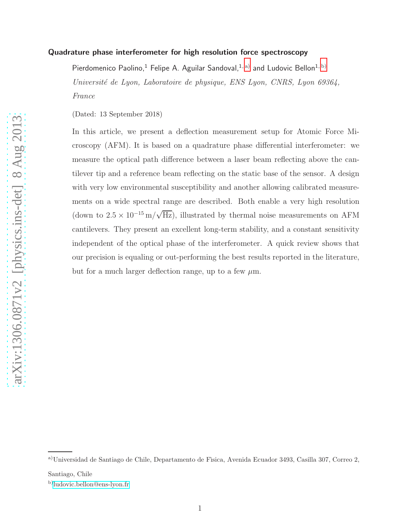### Quadrature phase interferometer for high resolution force spectroscopy

Pierdomenico Paolino,<sup>1</sup> Felipe A. Aguilar Sandoval,<sup>1, [a\)](#page-0-0)</sup> and Ludovic Bellon<sup>1, [b\)](#page-0-1)</sup> Université de Lyon, Laboratoire de physique, ENS Lyon, CNRS, Lyon 69364, France

(Dated: 13 September 2018)

In this article, we present a deflection measurement setup for Atomic Force Microscopy (AFM). It is based on a quadrature phase differential interferometer: we measure the optical path difference between a laser beam reflecting above the cantilever tip and a reference beam reflecting on the static base of the sensor. A design with very low environmental susceptibility and another allowing calibrated measurements on a wide spectral range are described. Both enable a very high resolution (down to  $2.5 \times 10^{-15}$  m/ $\sqrt{Hz}$ ), illustrated by thermal noise measurements on AFM cantilevers. They present an excellent long-term stability, and a constant sensitivity independent of the optical phase of the interferometer. A quick review shows that our precision is equaling or out-performing the best results reported in the literature, but for a much larger deflection range, up to a few  $\mu$ m.

<span id="page-0-1"></span>Santiago, Chile

<span id="page-0-0"></span>a)Universidad de Santiago de Chile, Departamento de Física, Avenida Ecuador 3493, Casilla 307, Correo 2,

b)[ludovic.bellon@ens-lyon.fr](mailto:ludovic.bellon@ens-lyon.fr)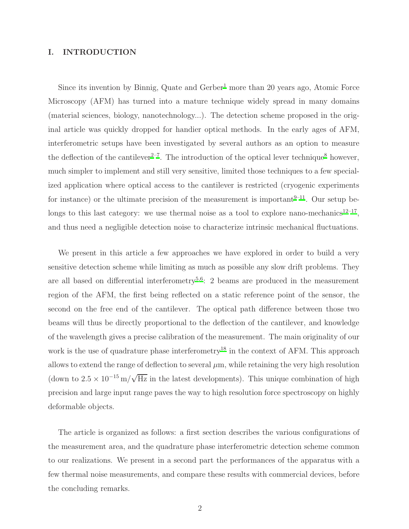## I. INTRODUCTION

Since its invention by Binnig, Quate and Gerber<sup>[1](#page-22-0)</sup> more than 20 years ago, Atomic Force Microscopy (AFM) has turned into a mature technique widely spread in many domains (material sciences, biology, nanotechnology...). The detection scheme proposed in the original article was quickly dropped for handier optical methods. In the early ages of AFM, interferometric setups have been investigated by several authors as an option to measure the deflection of the cantilever<sup>[2](#page-22-1)[–7](#page-22-2)</sup>. The introduction of the optical lever technique<sup>[8](#page-22-3)</sup> however, much simpler to implement and still very sensitive, limited those techniques to a few specialized application where optical access to the cantilever is restricted (cryogenic experiments for instance) or the ultimate precision of the measurement is important $9-11$  $9-11$ . Our setup be-longs to this last category: we use thermal noise as a tool to explore nano-mechanics<sup>[12](#page-22-6)-17</sup>, and thus need a negligible detection noise to characterize intrinsic mechanical fluctuations.

We present in this article a few approaches we have explored in order to build a very sensitive detection scheme while limiting as much as possible any slow drift problems. They are all based on differential interferometry<sup>[5](#page-22-8)[,6](#page-22-9)</sup>: 2 beams are produced in the measurement region of the AFM, the first being reflected on a static reference point of the sensor, the second on the free end of the cantilever. The optical path difference between those two beams will thus be directly proportional to the deflection of the cantilever, and knowledge of the wavelength gives a precise calibration of the measurement. The main originality of our work is the use of quadrature phase interferometry<sup>[18](#page-22-10)</sup> in the context of AFM. This approach allows to extend the range of deflection to several  $\mu$ m, while retaining the very high resolution (down to  $2.5 \times 10^{-15}$  m/ $\sqrt{\text{Hz}}$  in the latest developments). This unique combination of high precision and large input range paves the way to high resolution force spectroscopy on highly deformable objects.

The article is organized as follows: a first section describes the various configurations of the measurement area, and the quadrature phase interferometric detection scheme common to our realizations. We present in a second part the performances of the apparatus with a few thermal noise measurements, and compare these results with commercial devices, before the concluding remarks.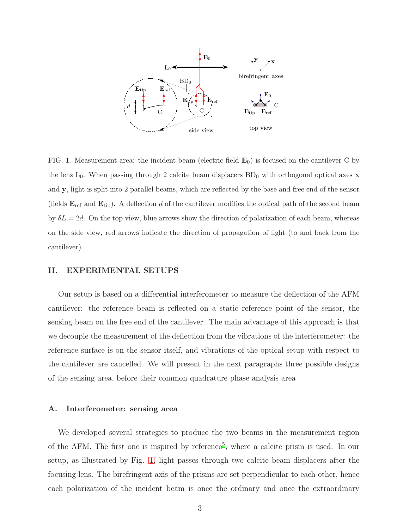PSfrag replacements



<span id="page-2-0"></span>FIG. 1. Measurement area: the incident beam (electric field  $\mathbf{E}_0$ ) is focused on the cantilever C by the lens  $L_0$ . When passing through 2 calcite beam displacers  $BD_0$  with orthogonal optical axes x and y, light is split into 2 parallel beams, which are reflected by the base and free end of the sensor (fields  $\mathbf{E}_{\text{ref}}$  and  $\mathbf{E}_{\text{tip}}$ ). A deflection d of the cantilever modifies the optical path of the second beam by  $\delta L = 2d$ . On the top view, blue arrows show the direction of polarization of each beam, whereas on the side view, red arrows indicate the direction of propagation of light (to and back from the cantilever).

#### II. EXPERIMENTAL SETUPS

Our setup is based on a differential interferometer to measure the deflection of the AFM cantilever: the reference beam is reflected on a static reference point of the sensor, the sensing beam on the free end of the cantilever. The main advantage of this approach is that we decouple the measurement of the deflection from the vibrations of the interferometer: the reference surface is on the sensor itself, and vibrations of the optical setup with respect to the cantilever are cancelled. We will present in the next paragraphs three possible designs of the sensing area, before their common quadrature phase analysis area

#### A. Interferometer: sensing area

We developed several strategies to produce the two beams in the measurement region of the AFM. The first one is inspired by reference<sup>[5](#page-22-8)</sup>, where a calcite prism is used. In our setup, as illustrated by Fig. [1,](#page-2-0) light passes through two calcite beam displacers after the focusing lens. The birefringent axis of the prisms are set perpendicular to each other, hence each polarization of the incident beam is once the ordinary and once the extraordinary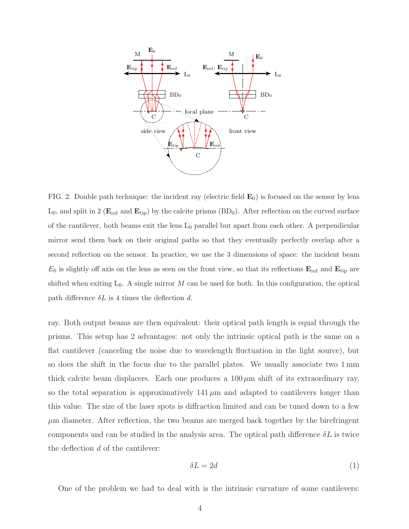

<span id="page-3-0"></span>FIG. 2. Double path technique: the incident ray (electric field  $\mathbf{E}_0$ ) is focused on the sensor by lens  $L_0$ , and split in 2 ( $\mathbf{E}_{ref}$  and  $\mathbf{E}_{tip}$ ) by the calcite prisms (BD<sub>0</sub>). After reflection on the curved surface of the cantilever, both beams exit the lens  $L_0$  parallel but apart from each other. A perpendicular mirror send them back on their original paths so that they eventually perfectly overlap after a second reflection on the sensor. In practice, we use the 3 dimensions of space: the incident beam  $E_0$  is slightly off axis on the lens as seen on the front view, so that its reflections  $\mathbf{E}_{\text{ref}}$  and  $\mathbf{E}_{\text{tip}}$  are shifted when exiting  $L_0$ . A single mirror M can be used for both. In this configuration, the optical path difference  $\delta L$  is 4 times the deflection d.

ray. Both output beams are then equivalent: their optical path length is equal through the prisms. This setup has 2 advantages: not only the intrinsic optical path is the same on a flat cantilever (canceling the noise due to wavelength fluctuation in the light source), but so does the shift in the focus due to the parallel plates. We usually associate two 1 mm thick calcite beam displacers. Each one produces a  $100 \mu m$  shift of its extraordinary ray, so the total separation is approximatively  $141 \mu m$  and adapted to cantilevers longer than this value. The size of the laser spots is diffraction limited and can be tuned down to a few  $\mu$ m diameter. After reflection, the two beams are merged back together by the birefringent components and can be studied in the analysis area. The optical path difference  $\delta L$  is twice the deflection  $d$  of the cantilever:

<span id="page-3-1"></span>
$$
\delta L = 2d \tag{1}
$$

One of the problem we had to deal with is the intrinsic curvature of some cantilevers: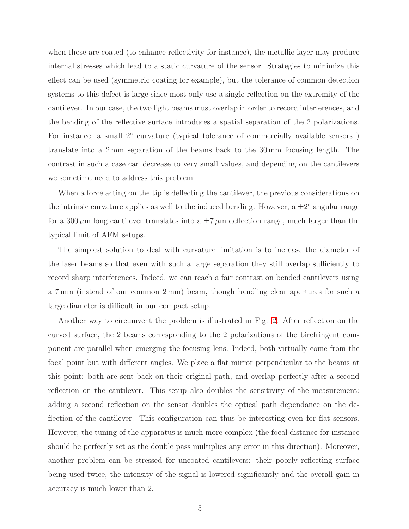when those are coated (to enhance reflectivity for instance), the metallic layer may produce internal stresses which lead to a static curvature of the sensor. Strategies to minimize this effect can be used (symmetric coating for example), but the tolerance of common detection systems to this defect is large since most only use a single reflection on the extremity of the cantilever. In our case, the two light beams must overlap in order to record interferences, and the bending of the reflective surface introduces a spatial separation of the 2 polarizations. For instance, a small 2<sup>°</sup> curvature (typical tolerance of commercially available sensors) translate into a 2 mm separation of the beams back to the 30 mm focusing length. The contrast in such a case can decrease to very small values, and depending on the cantilevers we sometime need to address this problem.

When a force acting on the tip is deflecting the cantilever, the previous considerations on the intrinsic curvature applies as well to the induced bending. However, a  $\pm 2^{\circ}$  angular range for a 300  $\mu$ m long cantilever translates into a  $\pm 7 \mu$ m deflection range, much larger than the typical limit of AFM setups.

The simplest solution to deal with curvature limitation is to increase the diameter of the laser beams so that even with such a large separation they still overlap sufficiently to record sharp interferences. Indeed, we can reach a fair contrast on bended cantilevers using a 7 mm (instead of our common 2 mm) beam, though handling clear apertures for such a large diameter is difficult in our compact setup.

Another way to circumvent the problem is illustrated in Fig. [2.](#page-3-0) After reflection on the curved surface, the 2 beams corresponding to the 2 polarizations of the birefringent component are parallel when emerging the focusing lens. Indeed, both virtually come from the focal point but with different angles. We place a flat mirror perpendicular to the beams at this point: both are sent back on their original path, and overlap perfectly after a second reflection on the cantilever. This setup also doubles the sensitivity of the measurement: adding a second reflection on the sensor doubles the optical path dependance on the deflection of the cantilever. This configuration can thus be interesting even for flat sensors. However, the tuning of the apparatus is much more complex (the focal distance for instance should be perfectly set as the double pass multiplies any error in this direction). Moreover, another problem can be stressed for uncoated cantilevers: their poorly reflecting surface being used twice, the intensity of the signal is lowered significantly and the overall gain in accuracy is much lower than 2.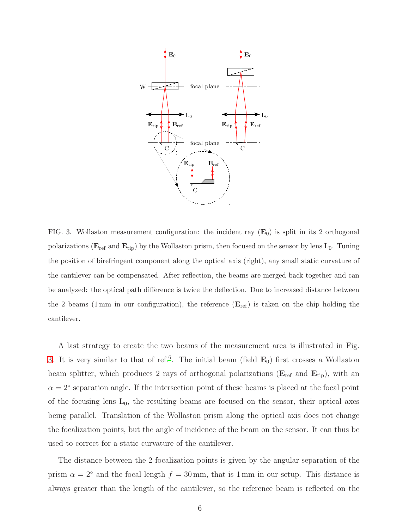

<span id="page-5-0"></span>FIG. 3. Wollaston measurement configuration: the incident ray  $(E_0)$  is split in its 2 orthogonal polarizations ( $E_{ref}$  and  $E_{tip}$ ) by the Wollaston prism, then focused on the sensor by lens  $L_0$ . Tuning the position of birefringent component along the optical axis (right), any small static curvature of the cantilever can be compensated. After reflection, the beams are merged back together and can be analyzed: the optical path difference is twice the deflection. Due to increased distance between the 2 beams (1 mm in our configuration), the reference  $(E_{ref})$  is taken on the chip holding the cantilever.

A last strategy to create the two beams of the measurement area is illustrated in Fig. [3.](#page-5-0) It is very similar to that of ref.<sup>[6](#page-22-9)</sup>. The initial beam (field  $\mathbf{E}_0$ ) first crosses a Wollaston beam splitter, which produces 2 rays of orthogonal polarizations ( $E_{ref}$  and  $E_{tip}$ ), with an  $\alpha = 2^{\circ}$  separation angle. If the intersection point of these beams is placed at the focal point of the focusing lens  $L_0$ , the resulting beams are focused on the sensor, their optical axes being parallel. Translation of the Wollaston prism along the optical axis does not change the focalization points, but the angle of incidence of the beam on the sensor. It can thus be used to correct for a static curvature of the cantilever.

The distance between the 2 focalization points is given by the angular separation of the prism  $\alpha = 2^{\circ}$  and the focal length  $f = 30$  mm, that is 1 mm in our setup. This distance is always greater than the length of the cantilever, so the reference beam is reflected on the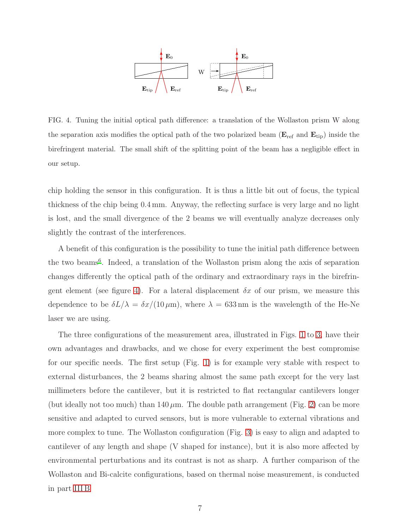

<span id="page-6-0"></span>FIG. 4. Tuning the initial optical path difference: a translation of the Wollaston prism W along the separation axis modifies the optical path of the two polarized beam ( $\mathbf{E}_{\text{ref}}$  and  $\mathbf{E}_{\text{tip}}$ ) inside the birefringent material. The small shift of the splitting point of the beam has a negligible effect in our setup.

chip holding the sensor in this configuration. It is thus a little bit out of focus, the typical thickness of the chip being 0.4 mm. Anyway, the reflecting surface is very large and no light is lost, and the small divergence of the 2 beams we will eventually analyze decreases only slightly the contrast of the interferences.

A benefit of this configuration is the possibility to tune the initial path difference between the two beams<sup>[6](#page-22-9)</sup>. Indeed, a translation of the Wollaston prism along the axis of separation changes differently the optical path of the ordinary and extraordinary rays in the birefrin-gent element (see figure [4\)](#page-6-0). For a lateral displacement  $\delta x$  of our prism, we measure this dependence to be  $\delta L/\lambda = \delta x/(10 \,\mu\text{m})$ , where  $\lambda = 633 \,\text{nm}$  is the wavelength of the He-Ne laser we are using.

The three configurations of the measurement area, illustrated in Figs. [1](#page-2-0) to [3,](#page-5-0) have their own advantages and drawbacks, and we chose for every experiment the best compromise for our specific needs. The first setup (Fig. [1\)](#page-2-0) is for example very stable with respect to external disturbances, the 2 beams sharing almost the same path except for the very last millimeters before the cantilever, but it is restricted to flat rectangular cantilevers longer (but ideally not too much) than  $140 \mu m$ . The double path arrangement (Fig. [2\)](#page-3-0) can be more sensitive and adapted to curved sensors, but is more vulnerable to external vibrations and more complex to tune. The Wollaston configuration (Fig. [3\)](#page-5-0) is easy to align and adapted to cantilever of any length and shape (V shaped for instance), but it is also more affected by environmental perturbations and its contrast is not as sharp. A further comparison of the Wollaston and Bi-calcite configurations, based on thermal noise measurement, is conducted in part [III B](#page-12-0)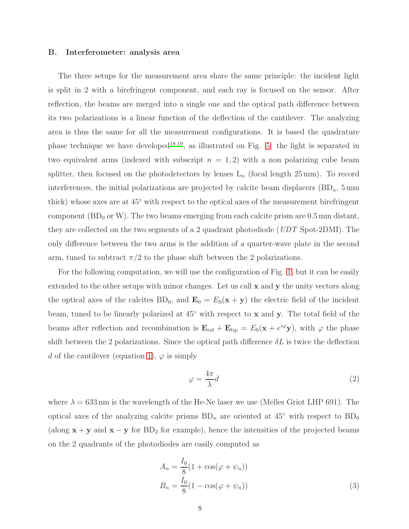### B. Interferometer: analysis area

The three setups for the measurement area share the same principle: the incident light is split in 2 with a birefringent component, and each ray is focused on the sensor. After reflection, the beams are merged into a single one and the optical path difference between its two polarizations is a linear function of the deflection of the cantilever. The analyzing area is thus the same for all the measurement configurations. It is based the quadrature phase technique we have developed<sup>[18](#page-22-10)[,19](#page-22-11)</sup>, as illustrated on Fig. [5:](#page-8-0) the light is separated in two equivalent arms (indexed with subscript  $n = 1, 2$ ) with a non polarizing cube beam splitter, then focused on the photodetectors by lenses  $L_n$  (focal length 25 mm). To record interferences, the initial polarizations are projected by calcite beam displacers  $(BD_n, 5 \text{ mm})$ thick) whose axes are at 45◦ with respect to the optical axes of the measurement birefringent component (BD<sub>0</sub> or W). The two beams emerging from each calcite prism are  $0.5 \,\mathrm{mm}$  distant, they are collected on the two segments of a 2 quadrant photodiode (*UDT* Spot-2DMI). The only difference between the two arms is the addition of a quarter-wave plate in the second arm, tuned to subtract  $\pi/2$  to the phase shift between the 2 polarizations.

For the following computation, we will use the configuration of Fig. [1,](#page-2-0) but it can be easily extended to the other setups with minor changes. Let us call x and y the unity vectors along the optical axes of the calcites  $BD_0$ , and  $\mathbf{E}_0 = E_0(\mathbf{x} + \mathbf{y})$  the electric field of the incident beam, tuned to be linearly polarized at 45◦ with respect to x and y. The total field of the beams after reflection and recombination is  $\mathbf{E}_{ref} + \mathbf{E}_{tip} = E_0(\mathbf{x} + e^{i\varphi}\mathbf{y})$ , with  $\varphi$  the phase shift between the 2 polarizations. Since the optical path difference  $\delta L$  is twice the deflection d of the cantilever (equation [1\)](#page-3-1),  $\varphi$  is simply

<span id="page-7-0"></span>
$$
\varphi = \frac{4\pi}{\lambda}d\tag{2}
$$

where  $\lambda = 633$  nm is the wavelength of the He-Ne laser we use (Melles Griot LHP 691). The optical axes of the analyzing calcite prisms  $BD_n$  are oriented at 45<sup>°</sup> with respect to  $BD_0$ (along  $x + y$  and  $x - y$  for BD<sub>2</sub> for example), hence the intensities of the projected beams on the 2 quadrants of the photodiodes are easily computed as

$$
A_n = \frac{I_0}{8} (1 + \cos(\varphi + \psi_n))
$$
  
\n
$$
B_n = \frac{I_0}{8} (1 - \cos(\varphi + \psi_n))
$$
\n(3)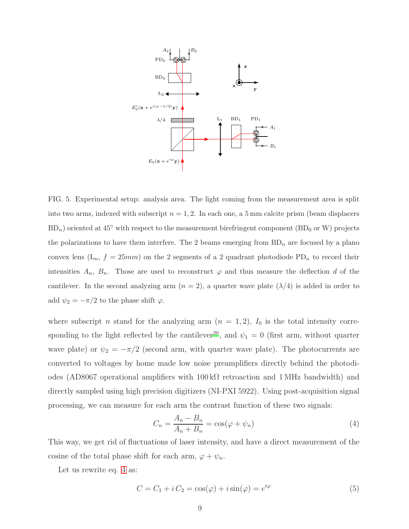PSfrag replacements



<span id="page-8-0"></span>FIG. 5. Experimental setup: analysis area. The light coming from the measurement area is split into two arms, indexed with subscript  $n = 1, 2$ . In each one, a 5 mm calcite prism (beam displacers  $BD_n$ ) oriented at 45 $\degree$  with respect to the measurement birefringent component (BD<sub>0</sub> or W) projects the polarizations to have them interfere. The 2 beams emerging from  $BD_n$  are focused by a plano convex lens  $(L_n, f = 25mm)$  on the 2 segments of a 2 quadrant photodiode PD<sub>n</sub> to record their intensities  $A_n$ ,  $B_n$ . Those are used to reconstruct  $\varphi$  and thus measure the deflection d of the cantilever. In the second analyzing arm  $(n = 2)$ , a quarter wave plate  $(\lambda/4)$  is added in order to add  $\psi_2 = -\pi/2$  to the phase shift  $\varphi$ .

where subscript n stand for the analyzing arm  $(n = 1, 2)$ ,  $I_0$  is the total intensity corre-sponding to the light reflected by the cantilever<sup>[20](#page-22-12)</sup>, and  $\psi_1 = 0$  (first arm, without quarter wave plate) or  $\psi_2 = -\pi/2$  (second arm, with quarter wave plate). The photocurrents are converted to voltages by home made low noise preamplifiers directly behind the photodiodes (AD8067 operational amplifiers with  $100 \text{ k}\Omega$  retroaction and 1 MHz bandwidth) and directly sampled using high precision digitizers (NI-PXI 5922). Using post-acquisition signal processing, we can measure for each arm the contrast function of these two signals:

<span id="page-8-1"></span>
$$
C_n = \frac{A_n - B_n}{A_n + B_n} = \cos(\varphi + \psi_n)
$$
\n<sup>(4)</sup>

This way, we get rid of fluctuations of laser intensity, and have a direct measurement of the cosine of the total phase shift for each arm,  $\varphi + \psi_n$ .

Let us rewrite eq. [4](#page-8-1) as:

<span id="page-8-2"></span>
$$
C = C_1 + i C_2 = \cos(\varphi) + i \sin(\varphi) = e^{i\varphi}
$$
\n<sup>(5)</sup>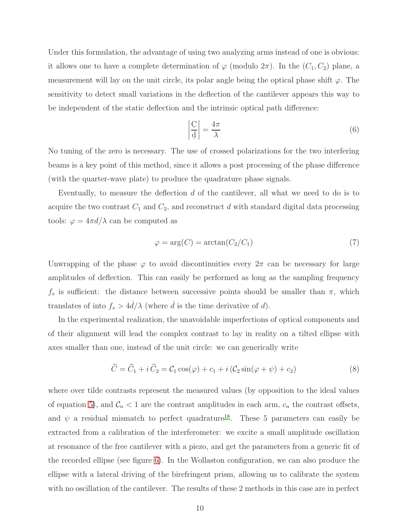Under this formulation, the advantage of using two analyzing arms instead of one is obvious: it allows one to have a complete determination of  $\varphi$  (modulo  $2\pi$ ). In the  $(C_1, C_2)$  plane, a measurement will lay on the unit circle, its polar angle being the optical phase shift  $\varphi$ . The sensitivity to detect small variations in the deflection of the cantilever appears this way to be independent of the static deflection and the intrinsic optical path difference:

$$
\left|\frac{C}{d}\right| = \frac{4\pi}{\lambda} \tag{6}
$$

No tuning of the zero is necessary. The use of crossed polarizations for the two interfering beams is a key point of this method, since it allows a post processing of the phase difference (with the quarter-wave plate) to produce the quadrature phase signals.

Eventually, to measure the deflection  $d$  of the cantilever, all what we need to do is to acquire the two contrast  $C_1$  and  $C_2$ , and reconstruct d with standard digital data processing tools:  $\varphi = 4\pi d/\lambda$  can be computed as

$$
\varphi = \arg(C) = \arctan(C_2/C_1) \tag{7}
$$

Unwrapping of the phase  $\varphi$  to avoid discontinuities every  $2\pi$  can be necessary for large amplitudes of deflection. This can easily be performed as long as the sampling frequency  $f_s$  is sufficient: the distance between successive points should be smaller than  $\pi$ , which translates of into  $f_s > 4d/\lambda$  (where  $\dot{d}$  is the time derivative of  $d$ ).

In the experimental realization, the unavoidable imperfections of optical components and of their alignment will lead the complex contrast to lay in reality on a tilted ellipse with axes smaller than one, instead of the unit circle: we can generically write

<span id="page-9-0"></span>
$$
\widetilde{C} = \widetilde{C}_1 + i \widetilde{C}_2 = C_1 \cos(\varphi) + c_1 + i (C_2 \sin(\varphi + \psi) + c_2)
$$
\n(8)

where over tilde contrasts represent the measured values (by opposition to the ideal values of equation [5\)](#page-8-2), and  $C_n < 1$  are the contrast amplitudes in each arm,  $c_n$  the contrast offsets, and  $\psi$  a residual mismatch to perfect quadrature<sup>[18](#page-22-10)</sup>. These 5 parameters can easily be extracted from a calibration of the interferometer: we excite a small amplitude oscillation at resonance of the free cantilever with a piezo, and get the parameters from a generic fit of the recorded ellipse (see figure [6\)](#page-10-0). In the Wollaston configuration, we can also produce the ellipse with a lateral driving of the birefringent prism, allowing us to calibrate the system with no oscillation of the cantilever. The results of these 2 methods in this case are in perfect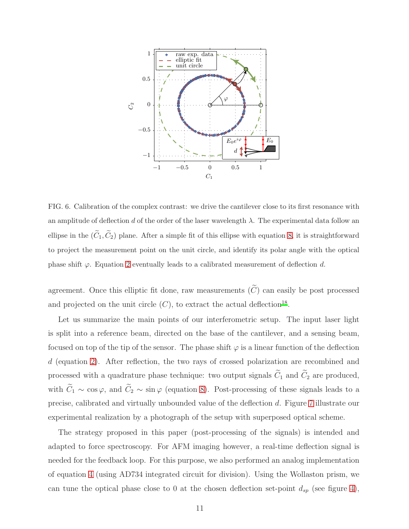

<span id="page-10-0"></span>FIG. 6. Calibration of the complex contrast: we drive the cantilever close to its first resonance with an amplitude of deflection d of the order of the laser wavelength  $\lambda$ . The experimental data follow an ellipse in the  $(\tilde{C}_1, \tilde{C}_2)$  plane. After a simple fit of this ellipse with equation [8,](#page-9-0) it is straightforward to project the measurement point on the unit circle, and identify its polar angle with the optical phase shift  $\varphi$ . Equation [2](#page-7-0) eventually leads to a calibrated measurement of deflection d.

agreement. Once this elliptic fit done, raw measurements  $(\widetilde{C})$  can easily be post processed and projected on the unit circle  $(C)$ , to extract the actual deflection<sup>[18](#page-22-10)</sup>.

Let us summarize the main points of our interferometric setup. The input laser light is split into a reference beam, directed on the base of the cantilever, and a sensing beam, focused on top of the tip of the sensor. The phase shift  $\varphi$  is a linear function of the deflection d (equation [2\)](#page-7-0). After reflection, the two rays of crossed polarization are recombined and processed with a quadrature phase technique: two output signals  $\tilde{C}_1$  and  $\tilde{C}_2$  are produced, with  $\tilde{C}_1 \sim \cos \varphi$ , and  $\tilde{C}_2 \sim \sin \varphi$  (equation [8\)](#page-9-0). Post-processing of these signals leads to a precise, calibrated and virtually unbounded value of the deflection d. Figure [7](#page-11-0) illustrate our experimental realization by a photograph of the setup with superposed optical scheme.

The strategy proposed in this paper (post-processing of the signals) is intended and adapted to force spectroscopy. For AFM imaging however, a real-time deflection signal is needed for the feedback loop. For this purpose, we also performed an analog implementation of equation [4](#page-8-1) (using AD734 integrated circuit for division). Using the Wollaston prism, we can tune the optical phase close to 0 at the chosen deflection set-point  $d_{sp}$  (see figure [4\)](#page-6-0),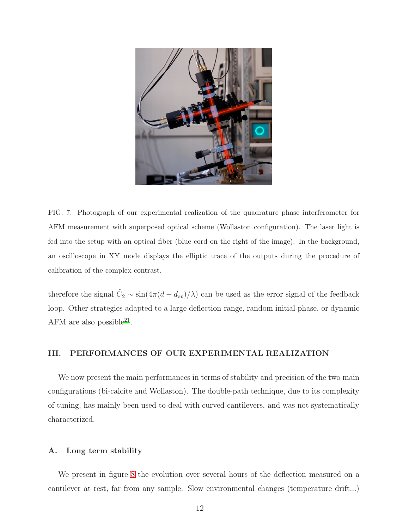

FIG. 7. Photograph of our experimental realization of the quadrature phase interferometer for AFM measurement with superposed optical scheme (Wollaston configuration). The laser light is fed into the setup with an optical fiber (blue cord on the right of the image). In the background, an oscilloscope in XY mode displays the elliptic trace of the outputs during the procedure of calibration of the complex contrast.

<span id="page-11-0"></span>therefore the signal  $\tilde{C}_2 \sim \sin(4\pi (d - d_{sp})/\lambda)$  can be used as the error signal of the feedback loop. Other strategies adapted to a large deflection range, random initial phase, or dynamic AFM are also possible<sup>[21](#page-23-0)</sup>.

# III. PERFORMANCES OF OUR EXPERIMENTAL REALIZATION

We now present the main performances in terms of stability and precision of the two main configurations (bi-calcite and Wollaston). The double-path technique, due to its complexity of tuning, has mainly been used to deal with curved cantilevers, and was not systematically characterized.

### A. Long term stability

We present in figure [8](#page-12-1) the evolution over several hours of the deflection measured on a cantilever at rest, far from any sample. Slow environmental changes (temperature drift...)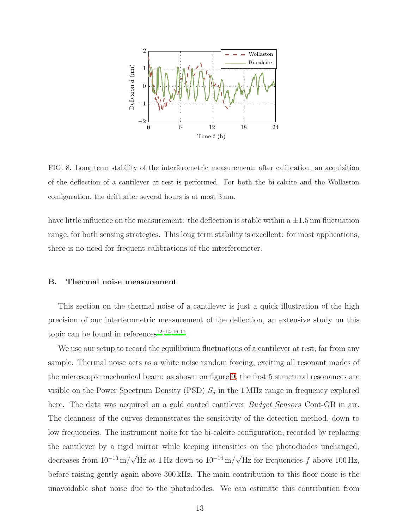

<span id="page-12-1"></span>FIG. 8. Long term stability of the interferometric measurement: after calibration, an acquisition of the deflection of a cantilever at rest is performed. For both the bi-calcite and the Wollaston configuration, the drift after several hours is at most 3 nm.

have little influence on the measurement: the deflection is stable within a  $\pm 1.5$  nm fluctuation range, for both sensing strategies. This long term stability is excellent: for most applications, there is no need for frequent calibrations of the interferometer.

#### <span id="page-12-0"></span>B. Thermal noise measurement

This section on the thermal noise of a cantilever is just a quick illustration of the high precision of our interferometric measurement of the deflection, an extensive study on this topic can be found in references<sup>[12](#page-22-6)-14[,16](#page-22-14)[,17](#page-22-7)</sup>.

We use our setup to record the equilibrium fluctuations of a cantilever at rest, far from any sample. Thermal noise acts as a white noise random forcing, exciting all resonant modes of the microscopic mechanical beam: as shown on figure [9,](#page-13-0) the first 5 structural resonances are visible on the Power Spectrum Density (PSD)  $S_d$  in the 1 MHz range in frequency explored here. The data was acquired on a gold coated cantilever *Budget Sensors* Cont-GB in air. The cleanness of the curves demonstrates the sensitivity of the detection method, down to low frequencies. The instrument noise for the bi-calcite configuration, recorded by replacing the cantilever by a rigid mirror while keeping intensities on the photodiodes unchanged, decreases from  $10^{-13}$  m/ $\sqrt{\text{Hz}}$  at 1 Hz down to  $10^{-14}$  m/ $\sqrt{\text{Hz}}$  for frequencies f above 100 Hz, before raising gently again above 300 kHz. The main contribution to this floor noise is the unavoidable shot noise due to the photodiodes. We can estimate this contribution from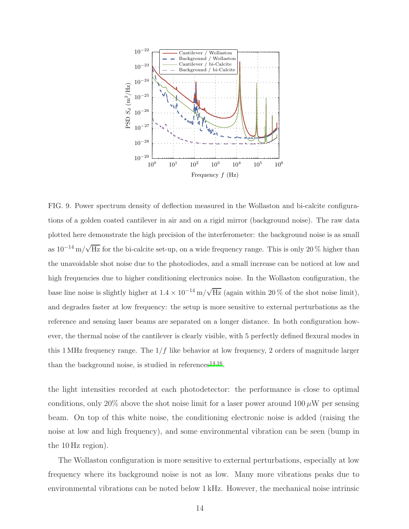

<span id="page-13-0"></span>FIG. 9. Power spectrum density of deflection measured in the Wollaston and bi-calcite configurations of a golden coated cantilever in air and on a rigid mirror (background noise). The raw data plotted here demonstrate the high precision of the interferometer: the background noise is as small as  $10^{-14}$  m/ $\sqrt{Hz}$  for the bi-calcite set-up, on a wide frequency range. This is only 20% higher than the unavoidable shot noise due to the photodiodes, and a small increase can be noticed at low and high frequencies due to higher conditioning electronics noise. In the Wollaston configuration, the base line noise is slightly higher at  $1.4 \times 10^{-14}$  m/ $\sqrt{\text{Hz}}$  (again within 20% of the shot noise limit), and degrades faster at low frequency: the setup is more sensitive to external perturbations as the reference and sensing laser beams are separated on a longer distance. In both configuration however, the thermal noise of the cantilever is clearly visible, with 5 perfectly defined flexural modes in this 1 MHz frequency range. The  $1/f$  like behavior at low frequency, 2 orders of magnitude larger than the background noise, is studied in references<sup>[14](#page-22-13)[,16](#page-22-14)</sup>.

the light intensities recorded at each photodetector: the performance is close to optimal conditions, only 20% above the shot noise limit for a laser power around  $100 \mu W$  per sensing beam. On top of this white noise, the conditioning electronic noise is added (raising the noise at low and high frequency), and some environmental vibration can be seen (bump in the 10 Hz region).

The Wollaston configuration is more sensitive to external perturbations, especially at low frequency where its background noise is not as low. Many more vibrations peaks due to environmental vibrations can be noted below 1 kHz. However, the mechanical noise intrinsic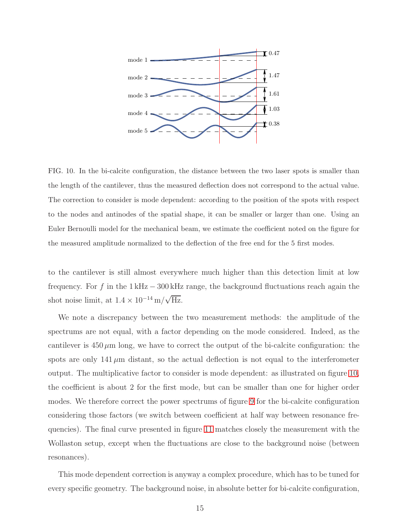

<span id="page-14-0"></span>FIG. 10. In the bi-calcite configuration, the distance between the two laser spots is smaller than the length of the cantilever, thus the measured deflection does not correspond to the actual value. The correction to consider is mode dependent: according to the position of the spots with respect to the nodes and antinodes of the spatial shape, it can be smaller or larger than one. Using an Euler Bernoulli model for the mechanical beam, we estimate the coefficient noted on the figure for the measured amplitude normalized to the deflection of the free end for the 5 first modes.

to the cantilever is still almost everywhere much higher than this detection limit at low frequency. For f in the  $1 \text{ kHz} - 300 \text{ kHz}$  range, the background fluctuations reach again the shot noise limit, at  $1.4 \times 10^{-14} \,\mathrm{m}/\sqrt{\mathrm{Hz}}$ .

We note a discrepancy between the two measurement methods: the amplitude of the spectrums are not equal, with a factor depending on the mode considered. Indeed, as the cantilever is  $450 \mu m$  long, we have to correct the output of the bi-calcite configuration: the spots are only  $141 \mu m$  distant, so the actual deflection is not equal to the interferometer output. The multiplicative factor to consider is mode dependent: as illustrated on figure [10,](#page-14-0) the coefficient is about 2 for the first mode, but can be smaller than one for higher order modes. We therefore correct the power spectrums of figure [9](#page-13-0) for the bi-calcite configuration considering those factors (we switch between coefficient at half way between resonance frequencies). The final curve presented in figure [11](#page-15-0) matches closely the measurement with the Wollaston setup, except when the fluctuations are close to the background noise (between resonances).

This mode dependent correction is anyway a complex procedure, which has to be tuned for every specific geometry. The background noise, in absolute better for bi-calcite configuration,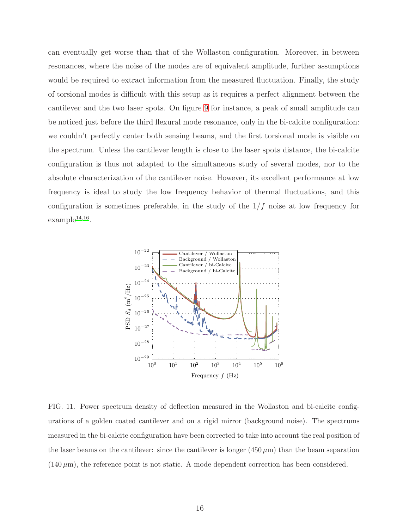can eventually get worse than that of the Wollaston configuration. Moreover, in between resonances, where the noise of the modes are of equivalent amplitude, further assumptions would be required to extract information from the measured fluctuation. Finally, the study of torsional modes is difficult with this setup as it requires a perfect alignment between the cantilever and the two laser spots. On figure [9](#page-13-0) for instance, a peak of small amplitude can be noticed just before the third flexural mode resonance, only in the bi-calcite configuration: we couldn't perfectly center both sensing beams, and the first torsional mode is visible on the spectrum. Unless the cantilever length is close to the laser spots distance, the bi-calcite configuration is thus not adapted to the simultaneous study of several modes, nor to the absolute characterization of the cantilever noise. However, its excellent performance at low frequency is ideal to study the low frequency behavior of thermal fluctuations, and this configuration is sometimes preferable, in the study of the  $1/f$  noise at low frequency for  $\text{example}^{14,16}.$  $\text{example}^{14,16}.$  $\text{example}^{14,16}.$  $\text{example}^{14,16}.$ 



<span id="page-15-0"></span>FIG. 11. Power spectrum density of deflection measured in the Wollaston and bi-calcite configurations of a golden coated cantilever and on a rigid mirror (background noise). The spectrums measured in the bi-calcite configuration have been corrected to take into account the real position of the laser beams on the cantilever: since the cantilever is longer  $(450 \,\mu m)$  than the beam separation  $(140 \,\mu\text{m})$ , the reference point is not static. A mode dependent correction has been considered.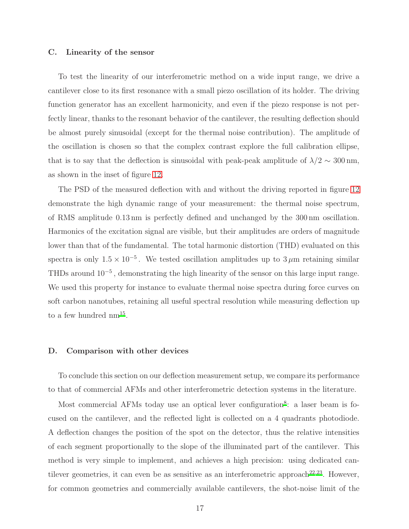#### C. Linearity of the sensor

To test the linearity of our interferometric method on a wide input range, we drive a cantilever close to its first resonance with a small piezo oscillation of its holder. The driving function generator has an excellent harmonicity, and even if the piezo response is not perfectly linear, thanks to the resonant behavior of the cantilever, the resulting deflection should be almost purely sinusoidal (except for the thermal noise contribution). The amplitude of the oscillation is chosen so that the complex contrast explore the full calibration ellipse, that is to say that the deflection is sinusoidal with peak-peak amplitude of  $\lambda/2 \sim 300\,\mathrm{nm}$ , as shown in the inset of figure [12.](#page-17-0)

The PSD of the measured deflection with and without the driving reported in figure [12](#page-17-0) demonstrate the high dynamic range of your measurement: the thermal noise spectrum, of RMS amplitude 0.13 nm is perfectly defined and unchanged by the 300 nm oscillation. Harmonics of the excitation signal are visible, but their amplitudes are orders of magnitude lower than that of the fundamental. The total harmonic distortion (THD) evaluated on this spectra is only  $1.5 \times 10^{-5}$ . We tested oscillation amplitudes up to  $3 \mu$ m retaining similar THDs around 10<sup>−</sup><sup>5</sup> , demonstrating the high linearity of the sensor on this large input range. We used this property for instance to evaluate thermal noise spectra during force curves on soft carbon nanotubes, retaining all useful spectral resolution while measuring deflection up to a few hundred  $nm^{15}$  $nm^{15}$  $nm^{15}$ .

#### D. Comparison with other devices

To conclude this section on our deflection measurement setup, we compare its performance to that of commercial AFMs and other interferometric detection systems in the literature.

Most commercial AFMs today use an optical lever configuration<sup>[8](#page-22-3)</sup>: a laser beam is focused on the cantilever, and the reflected light is collected on a 4 quadrants photodiode. A deflection changes the position of the spot on the detector, thus the relative intensities of each segment proportionally to the slope of the illuminated part of the cantilever. This method is very simple to implement, and achieves a high precision: using dedicated can-tilever geometries, it can even be as sensitive as an interferometric approach<sup>[22](#page-23-1)[,23](#page-23-2)</sup>. However, for common geometries and commercially available cantilevers, the shot-noise limit of the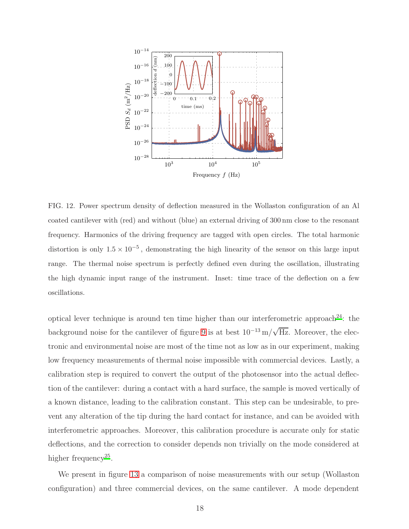

<span id="page-17-0"></span>FIG. 12. Power spectrum density of deflection measured in the Wollaston configuration of an Al coated cantilever with (red) and without (blue) an external driving of 300 nm close to the resonant frequency. Harmonics of the driving frequency are tagged with open circles. The total harmonic distortion is only  $1.5 \times 10^{-5}$ , demonstrating the high linearity of the sensor on this large input range. The thermal noise spectrum is perfectly defined even during the oscillation, illustrating the high dynamic input range of the instrument. Inset: time trace of the deflection on a few oscillations.

optical lever technique is around ten time higher than our interferometric approach<sup>[24](#page-23-3)</sup>: the background noise for the cantilever of figure [9](#page-13-0) is at best  $10^{-13}$  m/ $\sqrt{Hz}$ . Moreover, the electronic and environmental noise are most of the time not as low as in our experiment, making low frequency measurements of thermal noise impossible with commercial devices. Lastly, a calibration step is required to convert the output of the photosensor into the actual deflection of the cantilever: during a contact with a hard surface, the sample is moved vertically of a known distance, leading to the calibration constant. This step can be undesirable, to prevent any alteration of the tip during the hard contact for instance, and can be avoided with interferometric approaches. Moreover, this calibration procedure is accurate only for static deflections, and the correction to consider depends non trivially on the mode considered at higher frequency<sup>[25](#page-23-4)</sup>.

We present in figure [13](#page-19-0) a comparison of noise measurements with our setup (Wollaston configuration) and three commercial devices, on the same cantilever. A mode dependent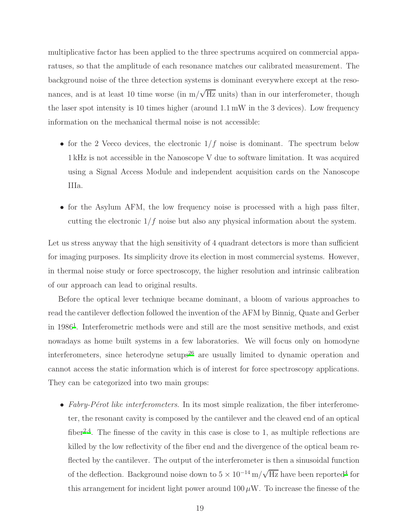multiplicative factor has been applied to the three spectrums acquired on commercial apparatuses, so that the amplitude of each resonance matches our calibrated measurement. The background noise of the three detection systems is dominant everywhere except at the resonances, and is at least 10 time worse (in  $m/\sqrt{Hz}$  units) than in our interferometer, though the laser spot intensity is 10 times higher (around 1.1 mW in the 3 devices). Low frequency information on the mechanical thermal noise is not accessible:

- for the 2 Veeco devices, the electronic  $1/f$  noise is dominant. The spectrum below 1 kHz is not accessible in the Nanoscope V due to software limitation. It was acquired using a Signal Access Module and independent acquisition cards on the Nanoscope IIIa.
- for the Asylum AFM, the low frequency noise is processed with a high pass filter, cutting the electronic  $1/f$  noise but also any physical information about the system.

Let us stress anyway that the high sensitivity of 4 quadrant detectors is more than sufficient for imaging purposes. Its simplicity drove its election in most commercial systems. However, in thermal noise study or force spectroscopy, the higher resolution and intrinsic calibration of our approach can lead to original results.

Before the optical lever technique became dominant, a bloom of various approaches to read the cantilever deflection followed the invention of the AFM by Binnig, Quate and Gerber in [1](#page-22-0)986<sup>1</sup>. Interferometric methods were and still are the most sensitive methods, and exist nowadays as home built systems in a few laboratories. We will focus only on homodyne interferometers, since heterodyne setups<sup>[26](#page-23-5)</sup> are usually limited to dynamic operation and cannot access the static information which is of interest for force spectroscopy applications. They can be categorized into two main groups:

• Fabry-Pérot like interferometers. In its most simple realization, the fiber interferometer, the resonant cavity is composed by the cantilever and the cleaved end of an optical fiber<sup>[2](#page-22-1)[,4](#page-22-16)</sup>. The finesse of the cavity in this case is close to 1, as multiple reflections are killed by the low reflectivity of the fiber end and the divergence of the optical beam reflected by the cantilever. The output of the interferometer is then a sinusoidal function of the deflection. Background noise down to  $5 \times 10^{-14} \,\mathrm{m}/\sqrt{\mathrm{Hz}}$  $5 \times 10^{-14} \,\mathrm{m}/\sqrt{\mathrm{Hz}}$  $5 \times 10^{-14} \,\mathrm{m}/\sqrt{\mathrm{Hz}}$  have been reported<sup>4</sup> for this arrangement for incident light power around  $100 \mu W$ . To increase the finesse of the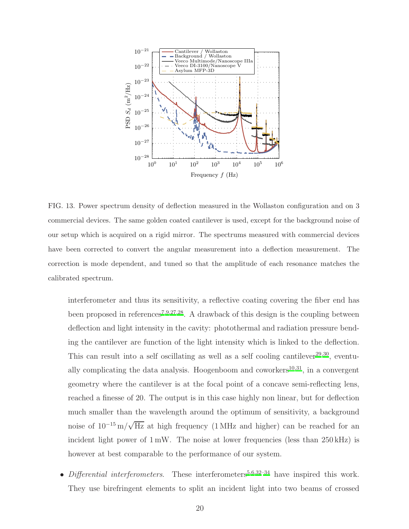

<span id="page-19-0"></span>FIG. 13. Power spectrum density of deflection measured in the Wollaston configuration and on 3 commercial devices. The same golden coated cantilever is used, except for the background noise of our setup which is acquired on a rigid mirror. The spectrums measured with commercial devices have been corrected to convert the angular measurement into a deflection measurement. The correction is mode dependent, and tuned so that the amplitude of each resonance matches the calibrated spectrum.

interferometer and thus its sensitivity, a reflective coating covering the fiber end has been proposed in references<sup>[7](#page-22-2)[,9](#page-22-4)[,27](#page-23-6)[,28](#page-23-7)</sup>. A drawback of this design is the coupling between deflection and light intensity in the cavity: photothermal and radiation pressure bending the cantilever are function of the light intensity which is linked to the deflection. This can result into a self oscillating as well as a self cooling cantilever<sup>[29](#page-23-8)[,30](#page-23-9)</sup>, eventually complicating the data analysis. Hoogenboom and coworkers $^{10,31}$  $^{10,31}$  $^{10,31}$  $^{10,31}$ , in a convergent geometry where the cantilever is at the focal point of a concave semi-reflecting lens, reached a finesse of 20. The output is in this case highly non linear, but for deflection much smaller than the wavelength around the optimum of sensitivity, a background noise of  $10^{-15}$  m/ $\sqrt{Hz}$  at high frequency (1 MHz and higher) can be reached for an incident light power of  $1 \text{ mW}$ . The noise at lower frequencies (less than  $250 \text{ kHz}$ ) is however at best comparable to the performance of our system.

• Differential interferometers. These interferometers<sup>[5](#page-22-8)[,6](#page-22-9)[,32](#page-23-11)[–34](#page-23-12)</sup> have inspired this work. They use birefringent elements to split an incident light into two beams of crossed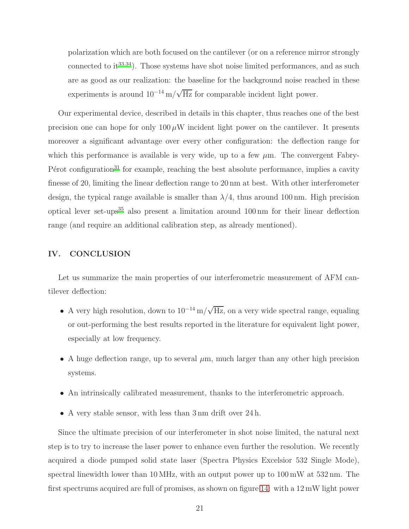polarization which are both focused on the cantilever (or on a reference mirror strongly connected to  $it^{33,34}$  $it^{33,34}$  $it^{33,34}$  $it^{33,34}$ ). Those systems have shot noise limited performances, and as such are as good as our realization: the baseline for the background noise reached in these experiments is around  $10^{-14}$  m/ $\sqrt{Hz}$  for comparable incident light power.

Our experimental device, described in details in this chapter, thus reaches one of the best precision one can hope for only  $100 \mu W$  incident light power on the cantilever. It presents moreover a significant advantage over every other configuration: the deflection range for which this performance is available is very wide, up to a few  $\mu$ m. The convergent Fabry-Pérot configuration<sup>[31](#page-23-10)</sup> for example, reaching the best absolute performance, implies a cavity finesse of 20, limiting the linear deflection range to 20 nm at best. With other interferometer design, the typical range available is smaller than  $\lambda/4$ , thus around 100 nm. High precision optical lever set-ups<sup>[35](#page-23-14)</sup> also present a limitation around  $100 \text{ nm}$  for their linear deflection range (and require an additional calibration step, as already mentioned).

### IV. CONCLUSION

Let us summarize the main properties of our interferometric measurement of AFM cantilever deflection:

- A very high resolution, down to  $10^{-14} \text{ m}/\sqrt{\text{Hz}}$ , on a very wide spectral range, equaling or out-performing the best results reported in the literature for equivalent light power, especially at low frequency.
- A huge deflection range, up to several  $\mu$ m, much larger than any other high precision systems.
- An intrinsically calibrated measurement, thanks to the interferometric approach.
- A very stable sensor, with less than 3 nm drift over 24 h.

Since the ultimate precision of our interferometer in shot noise limited, the natural next step is to try to increase the laser power to enhance even further the resolution. We recently acquired a diode pumped solid state laser (Spectra Physics Excelsior 532 Single Mode), spectral linewidth lower than 10 MHz, with an output power up to 100 mW at 532 nm. The first spectrums acquired are full of promises, as shown on figure [14:](#page-21-0) with a 12 mW light power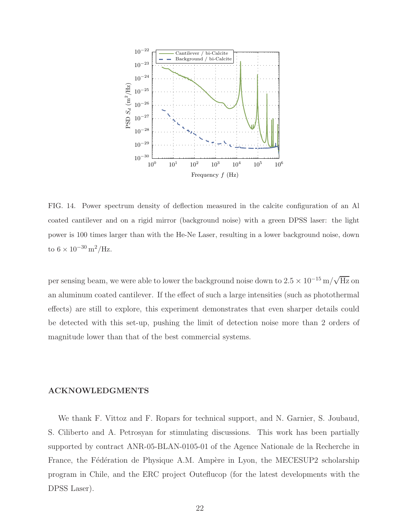

<span id="page-21-0"></span>FIG. 14. Power spectrum density of deflection measured in the calcite configuration of an Al coated cantilever and on a rigid mirror (background noise) with a green DPSS laser: the light power is 100 times larger than with the He-Ne Laser, resulting in a lower background noise, down to  $6 \times 10^{-30} \,\mathrm{m}^2/\mathrm{Hz}$ .

per sensing beam, we were able to lower the background noise down to  $2.5 \times 10^{-15}$  m/ $\sqrt{\rm{Hz}}$  on an aluminum coated cantilever. If the effect of such a large intensities (such as photothermal effects) are still to explore, this experiment demonstrates that even sharper details could be detected with this set-up, pushing the limit of detection noise more than 2 orders of magnitude lower than that of the best commercial systems.

### ACKNOWLEDGMENTS

We thank F. Vittoz and F. Ropars for technical support, and N. Garnier, S. Joubaud, S. Ciliberto and A. Petrosyan for stimulating discussions. This work has been partially supported by contract ANR-05-BLAN-0105-01 of the Agence Nationale de la Recherche in France, the Fédération de Physique A.M. Ampère in Lyon, the MECESUP2 scholarship program in Chile, and the ERC project Outeflucop (for the latest developments with the DPSS Laser).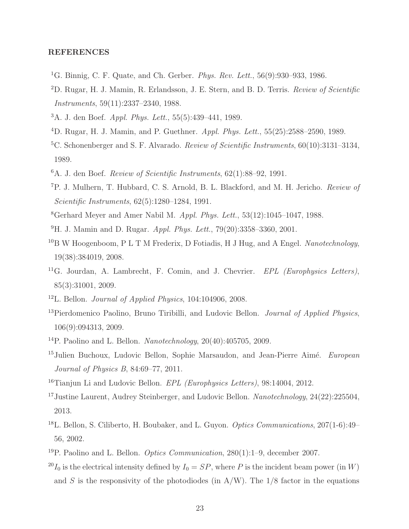## REFERENCES

- <span id="page-22-0"></span><sup>1</sup>G. Binnig, C. F. Quate, and Ch. Gerber. *Phys. Rev. Lett.*,  $56(9):930-933$ ,  $1986$ .
- <span id="page-22-1"></span><sup>2</sup>D. Rugar, H. J. Mamin, R. Erlandsson, J. E. Stern, and B. D. Terris. Review of Scientific Instruments, 59(11):2337–2340, 1988.
- <sup>3</sup>A. J. den Boef. Appl. Phys. Lett., 55(5):439–441, 1989.
- <span id="page-22-16"></span><sup>4</sup>D. Rugar, H. J. Mamin, and P. Guethner. Appl. Phys. Lett., 55(25):2588–2590, 1989.
- <span id="page-22-8"></span><sup>5</sup>C. Schonenberger and S. F. Alvarado. *Review of Scientific Instruments*, 60(10):3131–3134, 1989.
- <span id="page-22-9"></span> $6A.$  J. den Boef. *Review of Scientific Instruments*,  $62(1):88-92, 1991$ .
- <span id="page-22-2"></span><sup>7</sup>P. J. Mulhern, T. Hubbard, C. S. Arnold, B. L. Blackford, and M. H. Jericho. Review of Scientific Instruments, 62(5):1280–1284, 1991.
- <span id="page-22-3"></span><sup>8</sup>Gerhard Meyer and Amer Nabil M. *Appl. Phys. Lett.*,  $53(12):1045-1047$ ,  $1988$ .
- <span id="page-22-4"></span> $^{9}$ H. J. Mamin and D. Rugar. *Appl. Phys. Lett.*, 79(20):3358-3360, 2001.
- <span id="page-22-17"></span> $10B$  W Hoogenboom, P L T M Frederix, D Fotiadis, H J Hug, and A Engel. Nanotechnology, 19(38):384019, 2008.
- <span id="page-22-5"></span><sup>11</sup>G. Jourdan, A. Lambrecht, F. Comin, and J. Chevrier.  $EPL$  (Europhysics Letters), 85(3):31001, 2009.
- <span id="page-22-6"></span><sup>12</sup>L. Bellon. *Journal of Applied Physics*,  $104:104906$ ,  $2008$ .
- <sup>13</sup>Pierdomenico Paolino, Bruno Tiribilli, and Ludovic Bellon. *Journal of Applied Physics*, 106(9):094313, 2009.
- <span id="page-22-13"></span><sup>14</sup>P. Paolino and L. Bellon. Nanotechnology, 20(40):405705, 2009.
- <span id="page-22-15"></span><sup>15</sup>Julien Buchoux, Ludovic Bellon, Sophie Marsaudon, and Jean-Pierre Aimé. European Journal of Physics B, 84:69–77, 2011.
- <span id="page-22-14"></span><sup>16</sup>Tianjun Li and Ludovic Bellon.  $EPL$  (Europhysics Letters), 98:14004, 2012.
- <span id="page-22-7"></span><sup>17</sup>Justine Laurent, Audrey Steinberger, and Ludovic Bellon. Nanotechnology, 24(22):225504, 2013.
- <span id="page-22-10"></span><sup>18</sup>L. Bellon, S. Ciliberto, H. Boubaker, and L. Guyon. *Optics Communications*,  $207(1-6)$ : 49– 56, 2002.
- <span id="page-22-11"></span><sup>19</sup>P. Paolino and L. Bellon. *Optics Communication*,  $280(1):1-9$ , december 2007.
- <span id="page-22-12"></span><sup>20</sup>I<sub>0</sub> is the electrical intensity defined by  $I_0 = SP$ , where P is the incident beam power (in W) and S is the responsivity of the photodiodes (in  $A/W$ ). The  $1/8$  factor in the equations